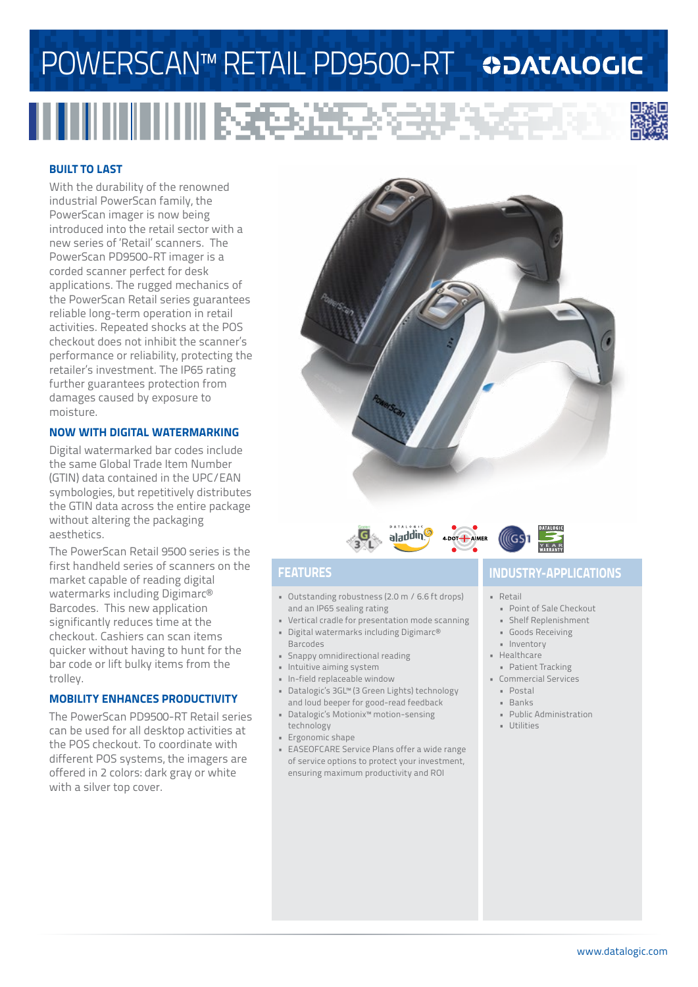# POWERSCAN™ RETAIL PD9500-RT ©DATALOGIC

## <u> III III IIII IIIII BECEAR</u>



#### **BUILT TO LAST**

With the durability of the renowned industrial PowerScan family, the PowerScan imager is now being introduced into the retail sector with a new series of 'Retail' scanners. The PowerScan PD9500-RT imager is a corded scanner perfect for desk applications. The rugged mechanics of the PowerScan Retail series guarantees reliable long-term operation in retail activities. Repeated shocks at the POS checkout does not inhibit the scanner's performance or reliability, protecting the retailer's investment. The IP65 rating further guarantees protection from damages caused by exposure to moisture.

#### **NOW WITH DIGITAL WATERMARKING**

Digital watermarked bar codes include the same Global Trade Item Number (GTIN) data contained in the UPC/EAN symbologies, but repetitively distributes the GTIN data across the entire package without altering the packaging aesthetics.

The PowerScan Retail 9500 series is the first handheld series of scanners on the market capable of reading digital watermarks including Digimarc® Barcodes. This new application significantly reduces time at the checkout. Cashiers can scan items quicker without having to hunt for the bar code or lift bulky items from the trolley.

#### **MOBILITY ENHANCES PRODUCTIVITY**

The PowerScan PD9500-RT Retail series can be used for all desktop activities at the POS checkout. To coordinate with different POS systems, the imagers are offered in 2 colors: dark gray or white with a silver top cover.





- Outstanding robustness (2.0 m / 6.6 ft drops) and an IP65 sealing rating
- Vertical cradle for presentation mode scanning • Digital watermarks including Digimarc®
- **Barcodes**
- Snappy omnidirectional reading
- Intuitive aiming system
- In-field replaceable window
- Datalogic's 3GL™ (3 Green Lights) technology and loud beeper for good-read feedback
- Datalogic's Motionix™ motion-sensing technology
- Ergonomic shape
- EASEOFCARE Service Plans offer a wide range of service options to protect your investment, ensuring maximum productivity and ROI

### **FEATURES INDUSTRY-APPLICATIONS**

#### • Retail

- Point of Sale Checkout
- Shelf Replenishment
- Goods Receiving
- Inventory
- Healthcare
- Patient Tracking
- Commercial Services
	- Postal
	- Banks
	- Public Administration
	- Utilities